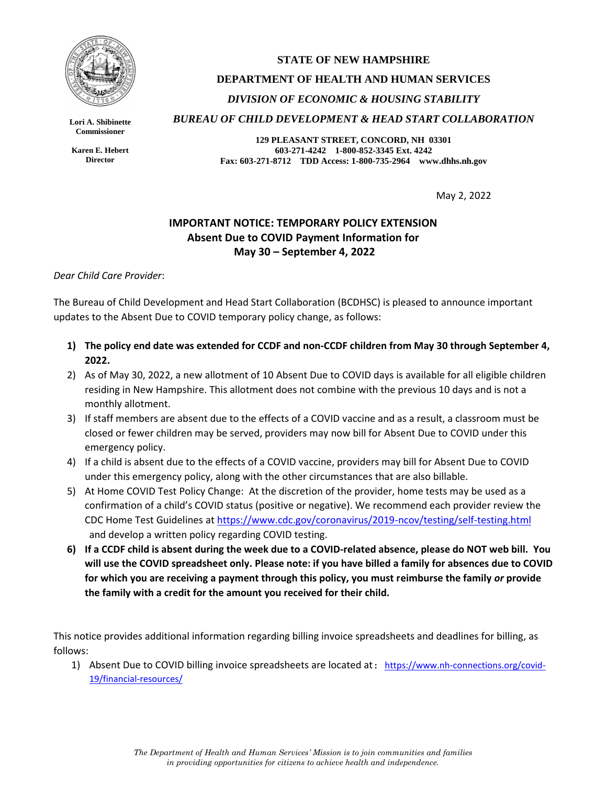

**Lori A. Shibinette Commissioner**

**Karen E. Hebert Director**

## **STATE OF NEW HAMPSHIRE DEPARTMENT OF HEALTH AND HUMAN SERVICES** *DIVISION OF ECONOMIC & HOUSING STABILITY BUREAU OF CHILD DEVELOPMENT & HEAD START COLLABORATION*

**129 PLEASANT STREET, CONCORD, NH 03301 603-271-4242 1-800-852-3345 Ext. 4242 Fax: 603-271-8712 TDD Access: 1-800-735-2964 www.dhhs.nh.gov**

May 2, 2022

## **IMPORTANT NOTICE: TEMPORARY POLICY EXTENSION Absent Due to COVID Payment Information for May 30 – September 4, 2022**

## *Dear Child Care Provider*:

The Bureau of Child Development and Head Start Collaboration (BCDHSC) is pleased to announce important updates to the Absent Due to COVID temporary policy change, as follows:

- **1) The policy end date was extended for CCDF and non-CCDF children from May 30 through September 4, 2022.**
- 2) As of May 30, 2022, a new allotment of 10 Absent Due to COVID days is available for all eligible children residing in New Hampshire. This allotment does not combine with the previous 10 days and is not a monthly allotment.
- 3) If staff members are absent due to the effects of a COVID vaccine and as a result, a classroom must be closed or fewer children may be served, providers may now bill for Absent Due to COVID under this emergency policy.
- 4) If a child is absent due to the effects of a COVID vaccine, providers may bill for Absent Due to COVID under this emergency policy, along with the other circumstances that are also billable.
- 5) At Home COVID Test Policy Change: At the discretion of the provider, home tests may be used as a confirmation of a child's COVID status (positive or negative). We recommend each provider review the CDC Home Test Guidelines at<https://www.cdc.gov/coronavirus/2019-ncov/testing/self-testing.html> and develop a written policy regarding COVID testing.
- **6) If a CCDF child is absent during the week due to a COVID-related absence, please do NOT web bill. You will use the COVID spreadsheet only. Please note: if you have billed a family for absences due to COVID for which you are receiving a payment through this policy, you must reimburse the family** *or* **provide the family with a credit for the amount you received for their child.**

This notice provides additional information regarding billing invoice spreadsheets and deadlines for billing, as follows:

1) Absent Due to COVID billing invoice spreadsheets are located at: [https://www.nh-connections.org/covid-](https://www.nh-connections.org/covid-19/financial-resources/)[19/financial-resources/](https://www.nh-connections.org/covid-19/financial-resources/)